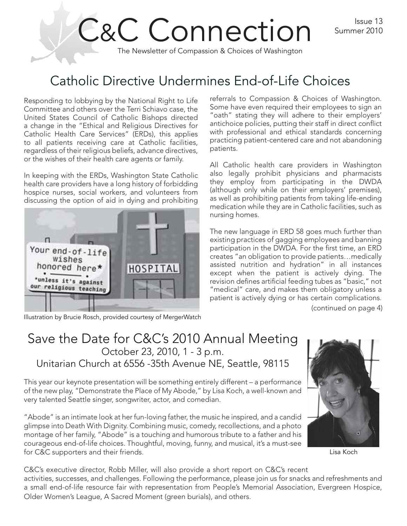Issue 13 Summer 2010

# C&C Connection The Newsletter of Compassion & Choices of Washington

## Catholic Directive Undermines End-of-Life Choices

Responding to lobbying by the National Right to Life Committee and others over the Terri Schiavo case, the United States Council of Catholic Bishops directed a change in the "Ethical and Religious Directives for Catholic Health Care Services" (ERDs), this applies to all patients receiving care at Catholic facilities, regardless of their religious beliefs, advance directives, or the wishes of their health care agents or family.

In keeping with the ERDs, Washington State Catholic health care providers have a long history of forbidding hospice nurses, social workers, and volunteers from discussing the option of aid in dying and prohibiting



Illustration by Brucie Rosch, provided courtesy of MergerWatch

referrals to Compassion & Choices of Washington. Some have even required their employees to sign an "oath" stating they will adhere to their employers' antichoice policies, putting their staff in direct conflict with professional and ethical standards concerning practicing patient-centered care and not abandoning patients.

All Catholic health care providers in Washington also legally prohibit physicians and pharmacists they employ from participating in the DWDA (although only while on their employers' premises), as well as prohibiting patients from taking life-ending medication while they are in Catholic facilities, such as nursing homes.

The new language in ERD 58 goes much further than existing practices of gagging employees and banning participation in the DWDA. For the first time, an ERD creates "an obligation to provide patients…medically assisted nutrition and hydration" in all instances except when the patient is actively dying. The revision defines artificial feeding tubes as "basic," not "medical" care, and makes them obligatory unless a patient is actively dying or has certain complications.

(continued on page 4)

### Save the Date for C&C's 2010 Annual Meeting October 23, 2010, 1 - 3 p.m. Unitarian Church at 6556 -35th Avenue NE, Seattle, 98115

This year our keynote presentation will be something entirely different – a performance of the new play, "Demonstrate the Place of My Abode," by Lisa Koch, a well-known and very talented Seattle singer, songwriter, actor, and comedian.

"Abode" is an intimate look at her fun-loving father, the music he inspired, and a candid glimpse into Death With Dignity. Combining music, comedy, recollections, and a photo montage of her family, "Abode" is a touching and humorous tribute to a father and his courageous end-of-life choices. Thoughtful, moving, funny, and musical, it's a must-see for C&C supporters and their friends.



Lisa Koch

C&C's executive director, Robb Miller, will also provide a short report on C&C's recent

activities, successes, and challenges. Following the performance, please join us for snacks and refreshments and a small end-of-life resource fair with representation from People's Memorial Association, Evergreen Hospice, Older Women's League, A Sacred Moment (green burials), and others.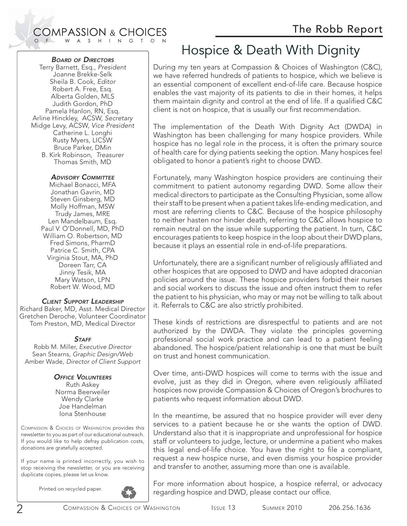#### **COMPASSION & CHOICES** W A S H I N G T O N

#### *BOARD OF DIRECTORS*

Terry Barnett, Esq., President Joanne Brekke-Selk Sheila B. Cook, Editor Robert A. Free, Esq. Alberta Golden, MLS Judith Gordon, PhD Pamela Hanlon, RN, Esq. Arline Hinckley, ACSW, Secretary Midge Levy, ACSW, Vice President Catherine L. Longhi Rusty Myers, LICSW Bruce Parker, DMin B. Kirk Robinson, Treasurer Thomas Smith, MD

#### *ADVISORY COMMITTEE*

Michael Bonacci, MFA Jonathan Gavrin, MD Steven Ginsberg, MD Molly Hoffman, MSW Trudy James, MRE Len Mandelbaum, Esq. Paul V. O'Donnell, MD, PhD William O. Robertson, MD Fred Simons, PharmD Patrice C. Smith, CPA Virginia Stout, MA, PhD Doreen Tarr, CA Jinny Tesik, MA Mary Watson, LPN Robert W. Wood, MD

#### *CLIENT SUPPORT LEADERSHIP*

Richard Baker, MD, Asst. Medical Director Gretchen Deroche, Volunteer Coordinator Tom Preston, MD, Medical Director

#### *STAFF*

Robb M. Miller, Executive Director Sean Stearns, Graphic Design/Web Amber Wade, Director of Client Support

#### *OFFICE VOLUNTEERS*

Ruth Askey Norma Beerweiler Wendy Clarke Joe Handelman Iona Stenhouse

COMPASSION & CHOICES OF WASHINGTON provides this newsletter to you as part of our educational outreach. If you would like to help defray publication costs, donations are gratefully accepted.

If your name is printed incorrectly, you wish to stop receiving the newsletter, or you are receiving duplicate copies, please let us know.

Printed on recycled paper.



## Hospice & Death With Dignity

During my ten years at Compassion & Choices of Washington (C&C), we have referred hundreds of patients to hospice, which we believe is an essential component of excellent end-of-life care. Because hospice enables the vast majority of its patients to die in their homes, it helps them maintain dignity and control at the end of life. If a qualified C&C client is not on hospice, that is usually our first recommendation.

The implementation of the Death With Dignity Act (DWDA) in Washington has been challenging for many hospice providers. While hospice has no legal role in the process, it is often the primary source of health care for dying patients seeking the option. Many hospices feel obligated to honor a patient's right to choose DWD.

Fortunately, many Washington hospice providers are continuing their commitment to patient autonomy regarding DWD. Some allow their medical directors to participate as the Consulting Physician, some allow their staff to be present when a patient takes life-ending medication, and most are referring clients to C&C. Because of the hospice philosophy to neither hasten nor hinder death, referring to C&C allows hospice to remain neutral on the issue while supporting the patient. In turn, C&C encourages patients to keep hospice in the loop about their DWD plans, because it plays an essential role in end-of-life preparations.

Unfortunately, there are a significant number of religiously affiliated and other hospices that are opposed to DWD and have adopted draconian policies around the issue. These hospice providers forbid their nurses and social workers to discuss the issue and often instruct them to refer the patient to his physician, who may or may not be willing to talk about it. Referrals to C&C are also strictly prohibited.

These kinds of restrictions are disrespectful to patients and are not authorized by the DWDA. They violate the principles governing professional social work practice and can lead to a patient feeling abandoned. The hospice/patient relationship is one that must be built on trust and honest communication.

Over time, anti-DWD hospices will come to terms with the issue and evolve, just as they did in Oregon, where even religiously affiliated hospices now provide Compassion & Choices of Oregon's brochures to patients who request information about DWD.

In the meantime, be assured that no hospice provider will ever deny services to a patient because he or she wants the option of DWD. Understand also that it is inappropriate and unprofessional for hospice staff or volunteers to judge, lecture, or undermine a patient who makes this legal end-of-life choice. You have the right to file a compliant, request a new hospice nurse, and even dismiss your hospice provider and transfer to another, assuming more than one is available.

For more information about hospice, a hospice referral, or advocacy regarding hospice and DWD, please contact our office.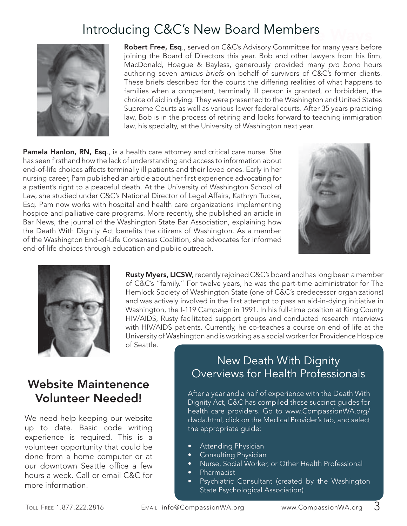## Introducing C&C's New Board Members



**Robert Free, Esq.**, served on C&C's Advisory Committee for many years before joining the Board of Directors this year. Bob and other lawyers from his firm, MacDonald, Hoague & Bayless, generously provided many pro bono hours authoring seven amicus briefs on behalf of survivors of C&C's former clients. These briefs described for the courts the differing realities of what happens to families when a competent, terminally ill person is granted, or forbidden, the choice of aid in dying. They were presented to the Washington and United States Supreme Courts as well as various lower federal courts. After 35 years practicing law, Bob is in the process of retiring and looks forward to teaching immigration law, his specialty, at the University of Washington next year.

**Pamela Hanlon, RN, Esq**., is a health care attorney and critical care nurse. She has seen firsthand how the lack of understanding and access to information about end-of-life choices affects terminally ill patients and their loved ones. Early in her nursing career, Pam published an article about her first experience advocating for a patient's right to a peaceful death. At the University of Washington School of Law, she studied under C&C's National Director of Legal Affairs, Kathryn Tucker, Esq. Pam now works with hospital and health care organizations implementing hospice and palliative care programs. More recently, she published an article in Bar News, the journal of the Washington State Bar Association, explaining how the Death With Dignity Act benefits the citizens of Washington. As a member of the Washington End-of-Life Consensus Coalition, she advocates for informed end-of-life choices through education and public outreach.





**Rusty Myers, LICSW,** recently rejoined C&C's board and has long been a member of C&C's "family." For twelve years, he was the part-time administrator for The Hemlock Society of Washington State (one of C&C's predecessor organizations) and was actively involved in the first attempt to pass an aid-in-dying initiative in Washington, the I-119 Campaign in 1991. In his full-time position at King County HIV/AIDS, Rusty facilitated support groups and conducted research interviews with HIV/AIDS patients. Currently, he co-teaches a course on end of life at the University of Washington and is working as a social worker for Providence Hospice of Seattle.

### **Website Maintenence Volunteer Needed!**

We need help keeping our website up to date. Basic code writing experience is required. This is a volunteer opportunity that could be done from a home computer or at our downtown Seattle office a few hours a week. Call or email C&C for more information.

#### New Death With Dignity Overviews for Health Professionals

After a year and a half of experience with the Death With Dignity Act, C&C has compiled these succinct guides for health care providers. Go to www.CompassionWA.org/ dwda.html, click on the Medical Provider's tab, and select the appropriate guide:

- Attending Physician •
- Consulting Physician •
- Nurse, Social Worker, or Other Health Professional •
- Pharmacist •
- Psychiatric Consultant (created by the Washington State Psychological Association) •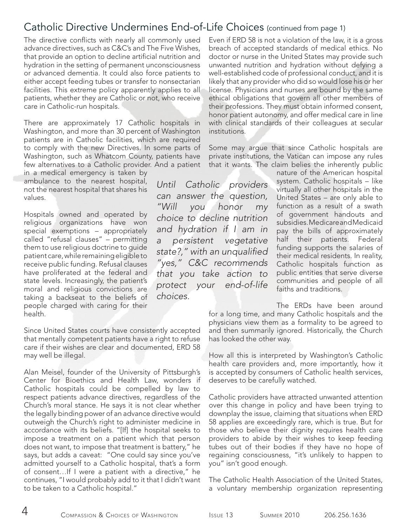#### Catholic Directive Undermines End-of-Life Choices (continued from page 1)

The directive conflicts with nearly all commonly used advance directives, such as C&C's and The Five Wishes, that provide an option to decline artificial nutrition and hydration in the setting of permanent unconsciousness or advanced dementia. It could also force patients to either accept feeding tubes or transfer to nonsectarian facilities. This extreme policy apparently applies to all patients, whether they are Catholic or not, who receive care in Catholic-run hospitals.

There are approximately 17 Catholic hospitals in Washington, and more than 30 percent of Washington patients are in Catholic facilities, which are required to comply with the new Directives. In some parts of Washington, such as Whatcom County, patients have few alternatives to a Catholic provider. And a patient

in a medical emergency is taken by ambulance to the nearest hospital, not the nearest hospital that shares his values.

Hospitals owned and operated by religious organizations have won special exemptions – appropriately called "refusal clauses" – permitting them to use religious doctrine to guide patient care, while remaining eligible to receive public funding. Refusal clauses have proliferated at the federal and state levels. Increasingly, the patient's moral and religious convictions are taking a backseat to the beliefs of people charged with caring for their health.

Since United States courts have consistently accepted that mentally competent patients have a right to refuse care if their wishes are clear and documented, ERD 58 may well be illegal.

Alan Meisel, founder of the University of Pittsburgh's Center for Bioethics and Health Law, wonders if Catholic hospitals could be compelled by law to respect patients advance directives, regardless of the Church's moral stance. He says it is not clear whether the legally binding power of an advance directive would outweigh the Church's right to administer medicine in accordance with its beliefs. "[If] the hospital seeks to impose a treatment on a patient which that person does not want, to impose that treatment is battery," he says, but adds a caveat: "One could say since you've admitted yourself to a Catholic hospital, that's a form of consent…If I were a patient with a directive," he continues, "I would probably add to it that I didn't want to be taken to a Catholic hospital."

Even if ERD 58 is not a violation of the law, it is a gross breach of accepted standards of medical ethics. No doctor or nurse in the United States may provide such unwanted nutrition and hydration without defying a well-established code of professional conduct, and it is likely that any provider who did so would lose his or her license. Physicians and nurses are bound by the same ethical obligations that govern all other members of their professions. They must obtain informed consent, honor patient autonomy, and offer medical care in line with clinical standards of their colleagues at secular institutions.

Some may argue that since Catholic hospitals are private institutions, the Vatican can impose any rules that it wants. The claim belies the inherently public

Until Catholic providers can answer the question, "Will you honor my choice to decline nutrition and hydration if I am in a persistent vegetative state?," with an unqualified "yes," C&C recommends that you take action to protect your end-of-life choices.

nature of the American hospital system. Catholic hospitals – like virtually all other hospitals in the United States – are only able to function as a result of a swath of government handouts and subsidies. Medicare and Medicaid pay the bills of approximately half their patients. Federal funding supports the salaries of their medical residents. In reality, Catholic hospitals function as public entities that serve diverse communities and people of all faiths and traditions.

The ERDs have been around

for a long time, and many Catholic hospitals and the physicians view them as a formality to be agreed to and then summarily ignored. Historically, the Church has looked the other way.

How all this is interpreted by Washington's Catholic health care providers and, more importantly, how it is accepted by consumers of Catholic health services, deserves to be carefully watched.

Catholic providers have attracted unwanted attention over this change in policy and have been trying to downplay the issue, claiming that situations when ERD 58 applies are exceedingly rare, which is true. But for those who believe their dignity requires health care providers to abide by their wishes to keep feeding tubes out of their bodies if they have no hope of regaining consciousness, "it's unlikely to happen to you" isn't good enough.

The Catholic Health Association of the United States, a voluntary membership organization representing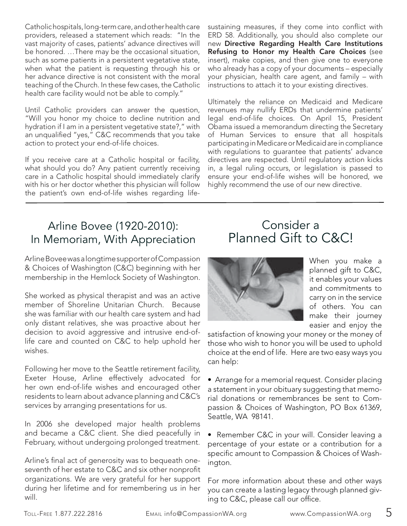Catholic hospitals, long-term care, and other health care providers, released a statement which reads: "In the vast majority of cases, patients' advance directives will be honored. …There may be the occasional situation, such as some patients in a persistent vegetative state, when what the patient is requesting through his or her advance directive is not consistent with the moral teaching of the Church. In these few cases, the Catholic health care facility would not be able to comply."

Until Catholic providers can answer the question, "Will you honor my choice to decline nutrition and hydration if I am in a persistent vegetative state?," with an unqualified "yes," C&C recommends that you take action to protect your end-of-life choices.

If you receive care at a Catholic hospital or facility, what should you do? Any patient currently receiving care in a Catholic hospital should immediately clarify with his or her doctor whether this physician will follow the patient's own end-of-life wishes regarding lifesustaining measures, if they come into conflict with ERD 58. Additionally, you should also complete our new **Directive Regarding Health Care Institutions Refusing to Honor my Health Care Choices** (see insert), make copies, and then give one to everyone who already has a copy of your documents – especially your physician, health care agent, and family – with instructions to attach it to your existing directives.

Ultimately the reliance on Medicaid and Medicare revenues may nullify ERDs that undermine patients' legal end-of-life choices. On April 15, President Obama issued a memorandum directing the Secretary of Human Services to ensure that all hospitals participating in Medicare or Medicaid are in compliance with regulations to guarantee that patients' advance directives are respected. Until regulatory action kicks in, a legal ruling occurs, or legislation is passed to ensure your end-of-life wishes will be honored, we highly recommend the use of our new directive.

### Arline Bovee (1920-2010): In Memoriam, With Appreciation

Arline Bovee was a longtime supporter of Compassion & Choices of Washington (C&C) beginning with her membership in the Hemlock Society of Washington.

She worked as physical therapist and was an active member of Shoreline Unitarian Church. Because she was familiar with our health care system and had only distant relatives, she was proactive about her decision to avoid aggressive and intrusive end-oflife care and counted on C&C to help uphold her wishes.

Following her move to the Seattle retirement facility, Exeter House, Arline effectively advocated for her own end-of-life wishes and encouraged other residents to learn about advance planning and C&C's services by arranging presentations for us.

In 2006 she developed major health problems and became a C&C client. She died peacefully in February, without undergoing prolonged treatment.

Arline's final act of generosity was to bequeath oneseventh of her estate to C&C and six other nonprofit organizations. We are very grateful for her support during her lifetime and for remembering us in her will.

## Consider a Planned Gift to C&C!



When you make a planned gift to C&C, it enables your values and commitments to carry on in the service of others. You can make their journey easier and enjoy the

satisfaction of knowing your money or the money of those who wish to honor you will be used to uphold choice at the end of life. Here are two easy ways you can help:

• Arrange for a memorial request. Consider placing a statement in your obituary suggesting that memorial donations or remembrances be sent to Compassion & Choices of Washington, PO Box 61369, Seattle, WA 98141.

• Remember C&C in your will. Consider leaving a percentage of your estate or a contribution for a specific amount to Compassion & Choices of Washington.

For more information about these and other ways you can create a lasting legacy through planned giving to C&C, please call our office.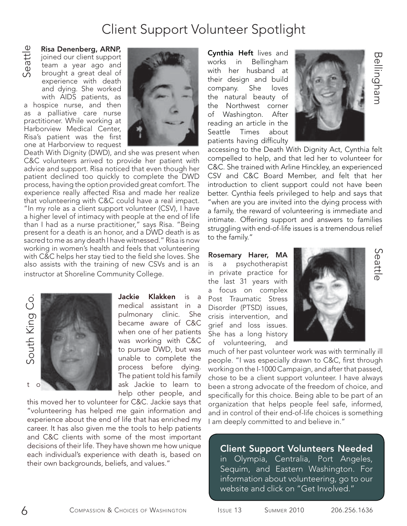## Client Support Volunteer Spotlight

**Risa Denenberg, ARNP,**  joined our client support team a year ago and brought a great deal of experience with death and dying. She worked with AIDS patients, as a hospice nurse, and then

as a palliative care nurse practitioner. While working at Harborview Medical Center, Risa's patient was the first one at Harborview to request



Death With Dignity (DWD), and she was present when C&C volunteers arrived to provide her patient with advice and support. Risa noticed that even though her patient declined too quickly to complete the DWD process, having the option provided great comfort. The experience really affected Risa and made her realize that volunteering with C&C could have a real impact. "In my role as a client support volunteer (CSV), I have a higher level of intimacy with people at the end of life than I had as a nurse practitioner," says Risa. "Being present for a death is an honor, and a DWD death is as sacred to me as any death I have witnessed." Risa is now working in women's health and feels that volunteering with C&C helps her stay tied to the field she loves. She also assists with the training of new CSVs and is an **Example 19. ARNP,**<br>
ignined our client support<br>
team a year ago and<br>
brought a great deal of<br>
experience with death<br>
and dying. She worked<br>
with AIDS patients, as<br>
a hospice nurse, and then<br>
paractitioner. While working a



**Jackie Klakken** is a medical assistant in a pulmonary clinic. She became aware of C&C when one of her patients was working with C&C to pursue DWD, but was unable to complete the process before dying. The patient told his family help other people, and

this moved her to volunteer for C&C. Jackie says that "volunteering has helped me gain information and experience about the end of life that has enriched my career. It has also given me the tools to help patients and C&C clients with some of the most important decisions of their life. They have shown me how unique each individual's experience with death is, based on The Makkel medical assista<br>
medical assista<br>
pulmonary clin<br>
became aware<br>
when one of her<br>
was working w<br>
to pursue DWD,<br>
unable to comp<br>
process before<br>
The patient told<br>
ask Jackie to<br>
"volunteering has helped me gain i

**Cynthia Heft** lives and works in Bellingham with her husband at their design and build company. She loves the natural beauty of the Northwest corner of Washington. After reading an article in the Seattle Times about patients having difficulty



accessing to the Death With Dignity Act, Cynthia felt compelled to help, and that led her to volunteer for C&C. She trained with Arline Hinckley, an experienced CSV and C&C Board Member, and felt that her introduction to client support could not have been better. Cynthia feels privileged to help and says that "when are you are invited into the dying process with a family, the reward of volunteering is immediate and intimate. Offering support and answers to families struggling with end-of-life issues is a tremendous relief to the family."

**Rosemary Harer, MA**  is a psychotherapist in private practice for the last 31 years with a focus on complex Post Traumatic Stress Disorder (PTSD) issues, crisis intervention, and grief and loss issues. She has a long history of volunteering, and



 SeattleSeattle

Bellingham

much of her past volunteer work was with terminally ill people. "I was especially drawn to C&C, first through working on the I-1000 Campaign, and after that passed, chose to be a client support volunteer. I have always been a strong advocate of the freedom of choice, and specifically for this choice. Being able to be part of an organization that helps people feel safe, informed, and in control of their end-of-life choices is something I am deeply committed to and believe in."

#### **Client Support Volunteers Needed**

in Olympia, Centralia, Port Angeles, Sequim, and Eastern Washington. For information about volunteering, go to our website and click on "Get Involved."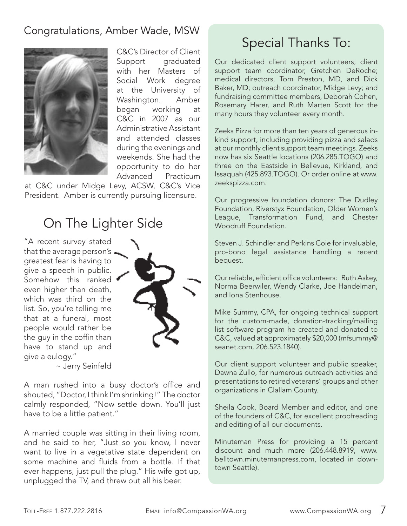#### Congratulations, Amber Wade, MSW



C&C's Director of Client Support graduated with her Masters of Social Work degree at the University of Washington. Amber began working at C&C in 2007 as our Administrative Assistant and attended classes during the evenings and weekends. She had the opportunity to do her Advanced Practicum

at C&C under Midge Levy, ACSW, C&C's Vice President. Amber is currently pursuing licensure.

## On The Lighter Side

"A recent survey stated that the average person's. greatest fear is having to give a speech in public. Somehow this ranked even higher than death, which was third on the list. So, you're telling me that at a funeral, most people would rather be the guy in the coffin than have to stand up and give a eulogy."



~ Jerry Seinfeld

A man rushed into a busy doctor's office and shouted, "Doctor, I think I'm shrinking!" The doctor calmly responded, "Now settle down. You'll just have to be a little patient."

A married couple was sitting in their living room, and he said to her, "Just so you know, I never want to live in a vegetative state dependent on some machine and fluids from a bottle. If that ever happens, just pull the plug." His wife got up, unplugged the TV, and threw out all his beer.

## Special Thanks To:

Our dedicated client support volunteers; client support team coordinator, Gretchen DeRoche; medical directors, Tom Preston, MD, and Dick Baker, MD; outreach coordinator, Midge Levy; and fundraising committee members, Deborah Cohen, Rosemary Harer, and Ruth Marten Scott for the many hours they volunteer every month.

Zeeks Pizza for more than ten years of generous inkind support, including providing pizza and salads at our monthly client support team meetings. Zeeks now has six Seattle locations (206.285.TOGO) and three on the Eastside in Bellevue, Kirkland, and Issaquah (425.893.TOGO). Or order online at www. zeekspizza.com.

Our progressive foundation donors: The Dudley Foundation, Riverstyx Foundation, Older Women's League, Transformation Fund, and Chester Woodruff Foundation.

Steven J. Schindler and Perkins Coie for invaluable, pro-bono legal assistance handling a recent bequest.

Our reliable, efficient office volunteers: Ruth Askey, Norma Beerwiler, Wendy Clarke, Joe Handelman, and Iona Stenhouse.

Mike Summy, CPA, for ongoing technical support for the custom-made, donation-tracking/mailing list software program he created and donated to C&C, valued at approximately \$20,000 (mfsummy@ seanet.com, 206.523.1840).

Our client support volunteer and public speaker, Dawna Zullo, for numerous outreach activities and presentations to retired veterans' groups and other organizations in Clallam County.

Sheila Cook, Board Member and editor, and one of the founders of C&C, for excellent proofreading and editing of all our documents.

Minuteman Press for providing a 15 percent discount and much more (206.448.8919, www. belltown.minutemanpress.com, located in downtown Seattle).